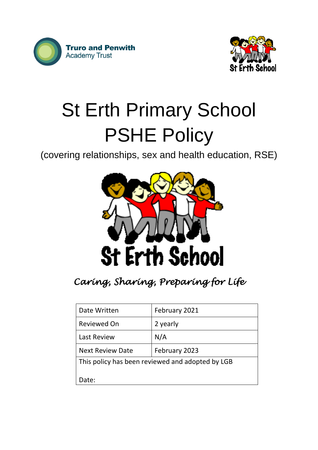



# St Erth Primary School PSHE Policy

(covering relationships, sex and health education, RSE)



*Caring, Sharing, Preparing for Life* 

| Date Written                                     | February 2021 |  |
|--------------------------------------------------|---------------|--|
| Reviewed On                                      | 2 yearly      |  |
| <b>Last Review</b>                               | N/A           |  |
| <b>Next Review Date</b>                          | February 2023 |  |
| This policy has been reviewed and adopted by LGB |               |  |
| Date:                                            |               |  |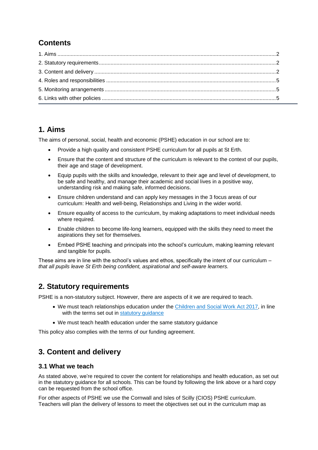# **Contents**

# <span id="page-1-0"></span>**1. Aims**

The aims of personal, social, health and economic (PSHE) education in our school are to:

- Provide a high quality and consistent PSHE curriculum for all pupils at St Erth.
- Ensure that the content and structure of the curriculum is relevant to the context of our pupils, their age and stage of development.
- Equip pupils with the skills and knowledge, relevant to their age and level of development, to be safe and healthy, and manage their academic and social lives in a positive way, understanding risk and making safe, informed decisions.
- Ensure children understand and can apply key messages in the 3 focus areas of our curriculum: Health and well-being, Relationships and Living in the wider world.
- Ensure equality of access to the curriculum, by making adaptations to meet individual needs where required.
- Enable children to become life-long learners, equipped with the skills they need to meet the aspirations they set for themselves.
- Embed PSHE teaching and principals into the school's curriculum, making learning relevant and tangible for pupils.

These aims are in line with the school's values and ethos, specifically the intent of our curriculum *that all pupils leave St Erth being confident, aspirational and self-aware learners.*

# <span id="page-1-1"></span>**2. Statutory requirements**

PSHE is a non-statutory subject. However, there are aspects of it we are required to teach.

- We must teach relationships education under the [Children and Social Work Act 2017,](http://www.legislation.gov.uk/ukpga/2017/16/section/34/enacted) in line with the terms set out in [statutory guidance](https://www.gov.uk/government/publications/relationships-education-relationships-and-sex-education-rse-and-health-education)
- We must teach health education under the same statutory guidance

This policy also complies with the terms of our funding agreement.

# <span id="page-1-2"></span>**3. Content and delivery**

#### **3.1 What we teach**

As stated above, we're required to cover the content for relationships and health education, as set out in the statutory guidance for all schools. This can be found by following the link above or a hard copy can be requested from the school office.

For other aspects of PSHE we use the Cornwall and Isles of Scilly (CIOS) PSHE curriculum. Teachers will plan the delivery of lessons to meet the objectives set out in the curriculum map as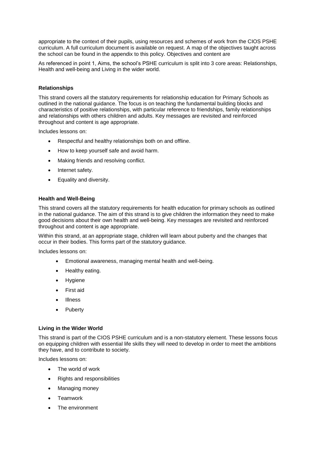appropriate to the context of their pupils, using resources and schemes of work from the CIOS PSHE curriculum. A full curriculum document is available on request. A map of the objectives taught across the school can be found in the appendix to this policy. Objectives and content are

As referenced in point 1, Aims, the school's PSHE curriculum is split into 3 core areas: Relationships, Health and well-being and Living in the wider world.

#### **Relationships**

This strand covers all the statutory requirements for relationship education for Primary Schools as outlined in the national guidance. The focus is on teaching the fundamental building blocks and characteristics of positive relationships, with particular reference to friendships, family relationships and relationships with others children and adults. Key messages are revisited and reinforced throughout and content is age appropriate.

Includes lessons on:

- Respectful and healthy relationships both on and offline.
- How to keep yourself safe and avoid harm.
- Making friends and resolving conflict.
- Internet safety.
- Equality and diversity.

#### **Health and Well-Being**

This strand covers all the statutory requirements for health education for primary schools as outlined in the national guidance. The aim of this strand is to give children the information they need to make good decisions about their own health and well-being. Key messages are revisited and reinforced throughout and content is age appropriate.

Within this strand, at an appropriate stage, children will learn about puberty and the changes that occur in their bodies. This forms part of the statutory guidance.

Includes lessons on:

- Emotional awareness, managing mental health and well-being.
- Healthy eating.
- Hygiene
- First aid
- Illness
- Puberty

#### **Living in the Wider World**

This strand is part of the CIOS PSHE curriculum and is a non-statutory element. These lessons focus on equipping children with essential life skills they will need to develop in order to meet the ambitions they have, and to contribute to society.

Includes lessons on:

- The world of work
- Rights and responsibilities
- Managing money
- Teamwork
- The environment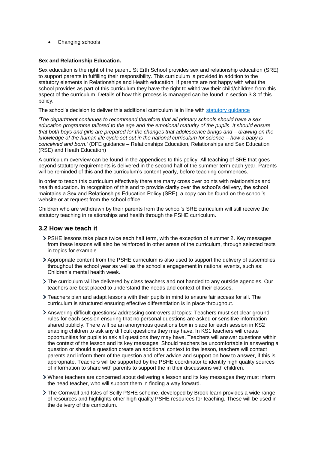Changing schools

#### **Sex and Relationship Education.**

Sex education is the right of the parent. St Erth School provides sex and relationship education (SRE) to support parents in fulfilling their responsibility. This curriculum is provided in addition to the statutory elements in Relationships and Health education. If parents are not happy with what the school provides as part of this curriculum they have the right to withdraw their child/children from this aspect of the curriculum. Details of how this process is managed can be found in section 3.3 of this policy.

The school's decision to deliver this additional curriculum is in line with statutory quidance

*'The department continues to recommend therefore that all primary schools should have a sex education programme tailored to the age and the emotional maturity of the pupils. It should ensure that both boys and girls are prepared for the changes that adolescence brings and – drawing on the knowledge of the human life cycle set out in the national curriculum for science – how a baby is conceived and born.'* (DFE guidance – Relationships Education, Relationships and Sex Education (RSE) and Heath Education)

A curriculum overview can be found in the appendices to this policy. All teaching of SRE that goes beyond statutory requirements is delivered in the second half of the summer term each year. Parents will be reminded of this and the curriculum's content yearly, before teaching commences.

In order to teach this curriculum effectively there are many cross over points with relationships and health education. In recognition of this and to provide clarity over the school's delivery, the school maintains a Sex and Relationships Education Policy (SRE), a copy can be found on the school's website or at request from the school office.

Children who are withdrawn by their parents from the school's SRE curriculum will still receive the statutory teaching in relationships and health through the PSHE curriculum.

#### **3.2 How we teach it**

- PSHE lessons take place twice each half term, with the exception of summer 2. Key messages from these lessons will also be reinforced in other areas of the curriculum, through selected texts in topics for example.
- Appropriate content from the PSHE curriculum is also used to support the delivery of assemblies throughout the school year as well as the school's engagement in national events, such as: Children's mental health week.
- The curriculum will be delivered by class teachers and not handed to any outside agencies. Our teachers are best placed to understand the needs and context of their classes.
- Teachers plan and adapt lessons with their pupils in mind to ensure fair access for all. The curriculum is structured ensuring effective differentiation is in place throughout.
- Answering difficult questions/ addressing controversial topics: Teachers must set clear ground rules for each session ensuring that no personal questions are asked or sensitive information shared publicly. There will be an anonymous questions box in place for each session in KS2 enabling children to ask any difficult questions they may have. In KS1 teachers will create opportunities for pupils to ask all questions they may have. Teachers will answer questions within the context of the lesson and its key messages. Should teachers be uncomfortable in answering a question or should a question create an additional context to the lesson, teachers will contact parents and inform them of the question and offer advice and support on how to answer, if this is appropriate. Teachers will be supported by the PSHE coordinator to identify high quality sources of information to share with parents to support the in their discussions with children.
- Where teachers are concerned about delivering a lesson and its key messages they must inform the head teacher, who will support them in finding a way forward.
- The Cornwall and Isles of Scilly PSHE scheme, developed by Brook learn provides a wide range of resources and highlights other high quality PSHE resources for teaching. These will be used in the delivery of the curriculum.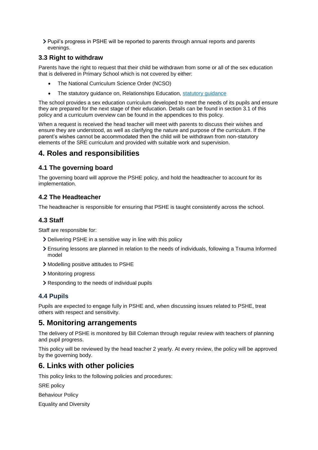Pupil's progress in PSHE will be reported to parents through annual reports and parents evenings.

## **3.3 Right to withdraw**

Parents have the right to request that their child be withdrawn from some or all of the sex education that is delivered in Primary School which is not covered by either:

- The National Curriculum Science Order (NCSO)
- The statutory quidance on, Relationships Education, statutory quidance

The school provides a sex education curriculum developed to meet the needs of its pupils and ensure they are prepared for the next stage of their education. Details can be found in section 3.1 of this policy and a curriculum overview can be found in the appendices to this policy.

When a request is received the head teacher will meet with parents to discuss their wishes and ensure they are understood, as well as clarifying the nature and purpose of the curriculum. If the parent's wishes cannot be accommodated then the child will be withdrawn from non-statutory elements of the SRE curriculum and provided with suitable work and supervision.

## <span id="page-4-0"></span>**4. Roles and responsibilities**

## **4.1 The governing board**

The governing board will approve the PSHE policy, and hold the headteacher to account for its implementation.

## **4.2 The Headteacher**

The headteacher is responsible for ensuring that PSHE is taught consistently across the school.

## **4.3 Staff**

Staff are responsible for:

- Delivering PSHE in a sensitive way in line with this policy
- Ensuring lessons are planned in relation to the needs of individuals, following a Trauma Informed model
- Modelling positive attitudes to PSHE
- > Monitoring progress
- Responding to the needs of individual pupils

#### **4.4 Pupils**

Pupils are expected to engage fully in PSHE and, when discussing issues related to PSHE, treat others with respect and sensitivity.

## <span id="page-4-1"></span>**5. Monitoring arrangements**

The delivery of PSHE is monitored by Bill Coleman through regular review with teachers of planning and pupil progress.

This policy will be reviewed by the head teacher 2 yearly. At every review, the policy will be approved by the governing body.

## <span id="page-4-2"></span>**6. Links with other policies**

This policy links to the following policies and procedures:

SRE policy

Behaviour Policy

Equality and Diversity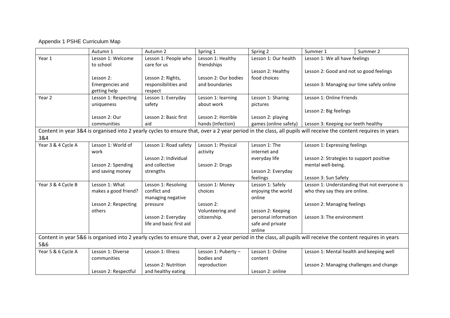#### Appendix 1 PSHE Curriculum Map

|                    | Autumn 1               | Autumn 2                 | Spring 1             | Spring 2                                                                                                                                                       | Summer 1                                     | Summer 2 |
|--------------------|------------------------|--------------------------|----------------------|----------------------------------------------------------------------------------------------------------------------------------------------------------------|----------------------------------------------|----------|
| Year 1             | Lesson 1: Welcome      | Lesson 1: People who     | Lesson 1: Healthy    | Lesson 1: Our health                                                                                                                                           | Lesson 1: We all have feelings               |          |
|                    | to school              | care for us              | friendships          |                                                                                                                                                                |                                              |          |
|                    |                        |                          |                      | Lesson 2: Healthy                                                                                                                                              | Lesson 2: Good and not so good feelings      |          |
|                    | Lesson 2:              | Lesson 2: Rights,        | Lesson 2: Our bodies | food choices                                                                                                                                                   |                                              |          |
|                    | <b>Emergencies and</b> | responsibilities and     | and boundaries       |                                                                                                                                                                | Lesson 3: Managing our time safely online    |          |
|                    | getting help           | respect                  |                      |                                                                                                                                                                |                                              |          |
| Year 2             | Lesson 1: Respecting   | Lesson 1: Everyday       | Lesson 1: learning   | Lesson 1: Sharing                                                                                                                                              | Lesson 1: Online Friends                     |          |
|                    | uniqueness             | safety                   | about work           | pictures                                                                                                                                                       |                                              |          |
|                    |                        |                          |                      |                                                                                                                                                                | Lesson 2: Big feelings                       |          |
|                    | Lesson 2: Our          | Lesson 2: Basic first    | Lesson 2: Horrible   | Lesson 2: playing                                                                                                                                              |                                              |          |
|                    | communities            | aid                      | hands (Infection)    | games (online safety)                                                                                                                                          | Lesson 3: Keeping our teeth healthy          |          |
|                    |                        |                          |                      | Content in year 3&4 is organised into 2 yearly cycles to ensure that, over a 2 year period in the class, all pupils will receive the content requires in years |                                              |          |
| 3&4                |                        |                          |                      |                                                                                                                                                                |                                              |          |
| Year 3 & 4 Cycle A | Lesson 1: World of     | Lesson 1: Road safety    | Lesson 1: Physical   | Lesson 1: The                                                                                                                                                  | Lesson 1: Expressing feelings                |          |
|                    | work                   |                          | activity             | internet and                                                                                                                                                   |                                              |          |
|                    |                        | Lesson 2: Individual     |                      | everyday life                                                                                                                                                  | Lesson 2: Strategies to support positive     |          |
|                    | Lesson 2: Spending     | and collective           | Lesson 2: Drugs      |                                                                                                                                                                | mental well-being.                           |          |
|                    | and saving money       | strengths                |                      | Lesson 2: Everyday                                                                                                                                             |                                              |          |
|                    |                        |                          |                      | feelings                                                                                                                                                       | Lesson 3: Sun Safety                         |          |
| Year 3 & 4 Cycle B | Lesson 1: What         | Lesson 1: Resolving      | Lesson 1: Money      | Lesson 1: Safely                                                                                                                                               | Lesson 1: Understanding that not everyone is |          |
|                    | makes a good friend?   | conflict and             | choices              | enjoying the world                                                                                                                                             | who they say they are online.                |          |
|                    |                        | managing negative        |                      | online                                                                                                                                                         |                                              |          |
|                    | Lesson 2: Respecting   | pressure                 | Lesson 2:            |                                                                                                                                                                | Lesson 2: Managing feelings                  |          |
|                    | others                 |                          | Volunteering and     | Lesson 2: Keeping                                                                                                                                              |                                              |          |
|                    |                        | Lesson 2: Everyday       | citizenship.         | personal information                                                                                                                                           | Lesson 3: The environment                    |          |
|                    |                        | life and basic first aid |                      | safe and private                                                                                                                                               |                                              |          |
|                    |                        |                          |                      | online                                                                                                                                                         |                                              |          |
|                    |                        |                          |                      | Content in year 5&6 is organised into 2 yearly cycles to ensure that, over a 2 year period in the class, all pupils will receive the content requires in years |                                              |          |
| 5&6                |                        |                          |                      |                                                                                                                                                                |                                              |          |
| Year 5 & 6 Cycle A | Lesson 1: Diverse      | Lesson 1: Illness        | Lesson 1: Puberty -  | Lesson 1: Online                                                                                                                                               | Lesson 1: Mental health and keeping well     |          |
|                    | communities            |                          | bodies and           | content                                                                                                                                                        |                                              |          |
|                    |                        | Lesson 2: Nutrition      | reproduction         |                                                                                                                                                                | Lesson 2: Managing challenges and change     |          |
|                    | Lesson 2: Respectful   | and healthy eating       |                      | Lesson 2: online                                                                                                                                               |                                              |          |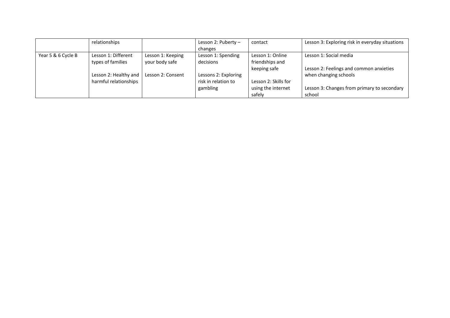|                    | relationships         |                   | Lesson 2: Puberty -  | contact              | Lesson 3: Exploring risk in everyday situations |
|--------------------|-----------------------|-------------------|----------------------|----------------------|-------------------------------------------------|
|                    |                       |                   | changes              |                      |                                                 |
| Year 5 & 6 Cycle B | Lesson 1: Different   | Lesson 1: Keeping | Lesson 1: Spending   | Lesson 1: Online     | Lesson 1: Social media                          |
|                    | types of families     | your body safe    | decisions            | friendships and      |                                                 |
|                    |                       |                   |                      | keeping safe         | Lesson 2: Feelings and common anxieties         |
|                    | Lesson 2: Healthy and | Lesson 2: Consent | Lessons 2: Exploring |                      | when changing schools                           |
|                    | harmful relationships |                   | risk in relation to  | Lesson 2: Skills for |                                                 |
|                    |                       |                   | gambling             | using the internet   | Lesson 3: Changes from primary to secondary     |
|                    |                       |                   |                      | safely               | school                                          |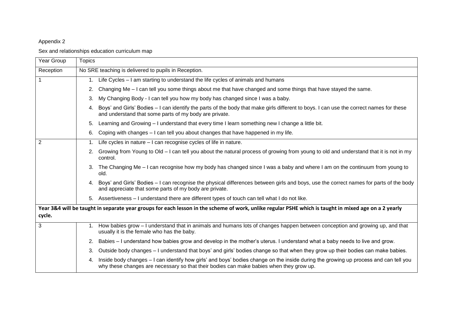#### Appendix 2

Sex and relationships education curriculum map

| Year Group     | <b>Topics</b>                                                                                                                                                                                                                         |  |  |  |  |  |
|----------------|---------------------------------------------------------------------------------------------------------------------------------------------------------------------------------------------------------------------------------------|--|--|--|--|--|
| Reception      | No SRE teaching is delivered to pupils in Reception.                                                                                                                                                                                  |  |  |  |  |  |
|                | 1. Life Cycles – I am starting to understand the life cycles of animals and humans                                                                                                                                                    |  |  |  |  |  |
|                | Changing Me – I can tell you some things about me that have changed and some things that have stayed the same.<br>2.                                                                                                                  |  |  |  |  |  |
|                | My Changing Body - I can tell you how my body has changed since I was a baby.<br>3.                                                                                                                                                   |  |  |  |  |  |
|                | 4. Boys' and Girls' Bodies – I can identify the parts of the body that make girls different to boys. I can use the correct names for these<br>and understand that some parts of my body are private.                                  |  |  |  |  |  |
|                | Learning and Growing – I understand that every time I learn something new I change a little bit.<br>5.                                                                                                                                |  |  |  |  |  |
|                | Coping with changes - I can tell you about changes that have happened in my life.<br>6.                                                                                                                                               |  |  |  |  |  |
| $\overline{2}$ | Life cycles in nature - I can recognise cycles of life in nature.<br>1.                                                                                                                                                               |  |  |  |  |  |
|                | Growing from Young to Old – I can tell you about the natural process of growing from young to old and understand that it is not in my<br>2.<br>control.                                                                               |  |  |  |  |  |
|                | 3. The Changing Me – I can recognise how my body has changed since I was a baby and where I am on the continuum from young to<br>old.                                                                                                 |  |  |  |  |  |
|                | 4. Boys' and Girls' Bodies – I can recognise the physical differences between girls and boys, use the correct names for parts of the body<br>and appreciate that some parts of my body are private.                                   |  |  |  |  |  |
|                | 5. Assertiveness – I understand there are different types of touch can tell what I do not like.                                                                                                                                       |  |  |  |  |  |
|                | Year 3&4 will be taught in separate year groups for each lesson in the scheme of work, unlike regular PSHE which is taught in mixed age on a 2 yearly                                                                                 |  |  |  |  |  |
| cycle.         |                                                                                                                                                                                                                                       |  |  |  |  |  |
| 3              | 1. How babies grow – I understand that in animals and humans lots of changes happen between conception and growing up, and that<br>usually it is the female who has the baby.                                                         |  |  |  |  |  |
|                | 2. Babies – I understand how babies grow and develop in the mother's uterus. I understand what a baby needs to live and grow.                                                                                                         |  |  |  |  |  |
|                | Outside body changes – I understand that boys' and girls' bodies change so that when they grow up their bodies can make babies.<br>3.                                                                                                 |  |  |  |  |  |
|                | Inside body changes – I can identify how girls' and boys' bodies change on the inside during the growing up process and can tell you<br>4.<br>why these changes are necessary so that their bodies can make babies when they grow up. |  |  |  |  |  |